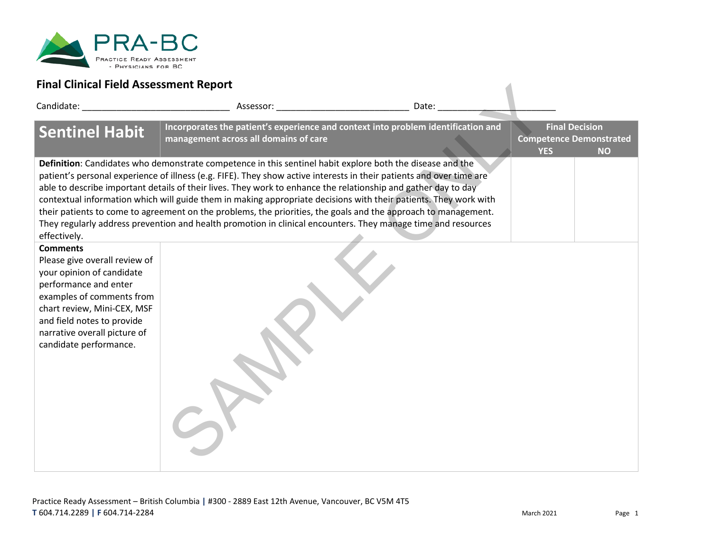

| Final Clinical Field Assessment Report                                                                                                                                                                                                                     |                                                                                                                                                                                                                                                                                                                                                                                                                                                                                                                                                                                                                                                                                                            |       |            |                                                                      |
|------------------------------------------------------------------------------------------------------------------------------------------------------------------------------------------------------------------------------------------------------------|------------------------------------------------------------------------------------------------------------------------------------------------------------------------------------------------------------------------------------------------------------------------------------------------------------------------------------------------------------------------------------------------------------------------------------------------------------------------------------------------------------------------------------------------------------------------------------------------------------------------------------------------------------------------------------------------------------|-------|------------|----------------------------------------------------------------------|
| Candidate: Candidate:                                                                                                                                                                                                                                      | Assessor: New York Products and the Contract of the Contract of the Contract of the Contract of the Contract of the Contract of the Contract of the Contract of the Contract of the Contract of the Contract of the Contract o                                                                                                                                                                                                                                                                                                                                                                                                                                                                             | Date: |            |                                                                      |
| <b>Sentinel Habit</b>                                                                                                                                                                                                                                      | Incorporates the patient's experience and context into problem identification and<br>management across all domains of care                                                                                                                                                                                                                                                                                                                                                                                                                                                                                                                                                                                 |       | <b>YES</b> | <b>Final Decision</b><br><b>Competence Demonstrated</b><br><b>NO</b> |
| effectively.                                                                                                                                                                                                                                               | Definition: Candidates who demonstrate competence in this sentinel habit explore both the disease and the<br>patient's personal experience of illness (e.g. FIFE). They show active interests in their patients and over time are<br>able to describe important details of their lives. They work to enhance the relationship and gather day to day<br>contextual information which will guide them in making appropriate decisions with their patients. They work with<br>their patients to come to agreement on the problems, the priorities, the goals and the approach to management.<br>They regularly address prevention and health promotion in clinical encounters. They manage time and resources |       |            |                                                                      |
| <b>Comments</b><br>Please give overall review of<br>your opinion of candidate<br>performance and enter<br>examples of comments from<br>chart review, Mini-CEX, MSF<br>and field notes to provide<br>narrative overall picture of<br>candidate performance. |                                                                                                                                                                                                                                                                                                                                                                                                                                                                                                                                                                                                                                                                                                            |       |            |                                                                      |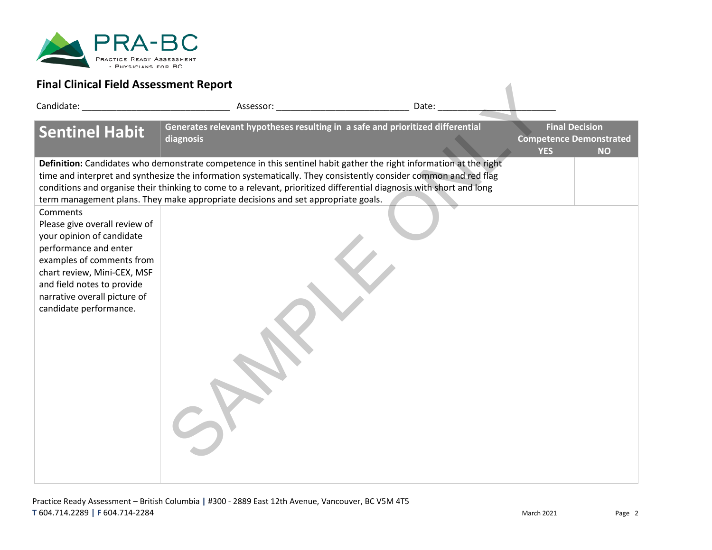

| Final Clinical Field Assessment Report                                                                                                                                                                                                              |                                                                                                                                                                                                                                                                                                                                                                                                                                                     |                 |                                                                                    |
|-----------------------------------------------------------------------------------------------------------------------------------------------------------------------------------------------------------------------------------------------------|-----------------------------------------------------------------------------------------------------------------------------------------------------------------------------------------------------------------------------------------------------------------------------------------------------------------------------------------------------------------------------------------------------------------------------------------------------|-----------------|------------------------------------------------------------------------------------|
| Candidate: National Candidate:                                                                                                                                                                                                                      |                                                                                                                                                                                                                                                                                                                                                                                                                                                     | Date: _________ |                                                                                    |
| <b>Sentinel Habit</b>                                                                                                                                                                                                                               | Generates relevant hypotheses resulting in a safe and prioritized differential<br>diagnosis                                                                                                                                                                                                                                                                                                                                                         |                 | <b>Final Decision</b><br><b>Competence Demonstrated</b><br><b>YES</b><br><b>NO</b> |
|                                                                                                                                                                                                                                                     | Definition: Candidates who demonstrate competence in this sentinel habit gather the right information at the right<br>time and interpret and synthesize the information systematically. They consistently consider common and red flag<br>conditions and organise their thinking to come to a relevant, prioritized differential diagnosis with short and long<br>term management plans. They make appropriate decisions and set appropriate goals. |                 |                                                                                    |
| Comments<br>Please give overall review of<br>your opinion of candidate<br>performance and enter<br>examples of comments from<br>chart review, Mini-CEX, MSF<br>and field notes to provide<br>narrative overall picture of<br>candidate performance. |                                                                                                                                                                                                                                                                                                                                                                                                                                                     |                 |                                                                                    |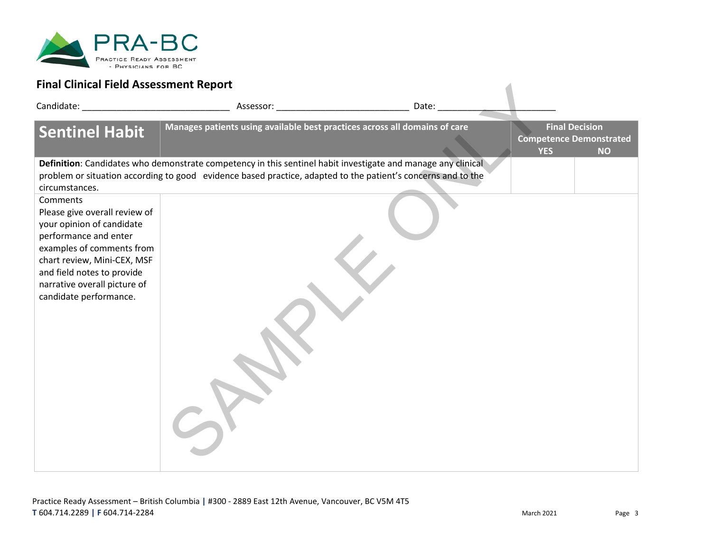

| Final Clinical Field Assessment Report                                                                                                                                                                                                              |                                                                                                                                                                                                                                |       |            |                                                                      |
|-----------------------------------------------------------------------------------------------------------------------------------------------------------------------------------------------------------------------------------------------------|--------------------------------------------------------------------------------------------------------------------------------------------------------------------------------------------------------------------------------|-------|------------|----------------------------------------------------------------------|
| Candidate: National Candidate:                                                                                                                                                                                                                      | Assessor: New York Products and the Contract of the Contract of the Contract of the Contract of the Contract of the Contract of the Contract of the Contract of the Contract of the Contract of the Contract of the Contract o | Date: |            |                                                                      |
| <b>Sentinel Habit</b>                                                                                                                                                                                                                               | Manages patients using available best practices across all domains of care                                                                                                                                                     |       | <b>YES</b> | <b>Final Decision</b><br><b>Competence Demonstrated</b><br><b>NO</b> |
| circumstances.                                                                                                                                                                                                                                      | Definition: Candidates who demonstrate competency in this sentinel habit investigate and manage any clinical<br>problem or situation according to good evidence based practice, adapted to the patient's concerns and to the   |       |            |                                                                      |
| Comments<br>Please give overall review of<br>your opinion of candidate<br>performance and enter<br>examples of comments from<br>chart review, Mini-CEX, MSF<br>and field notes to provide<br>narrative overall picture of<br>candidate performance. |                                                                                                                                                                                                                                |       |            |                                                                      |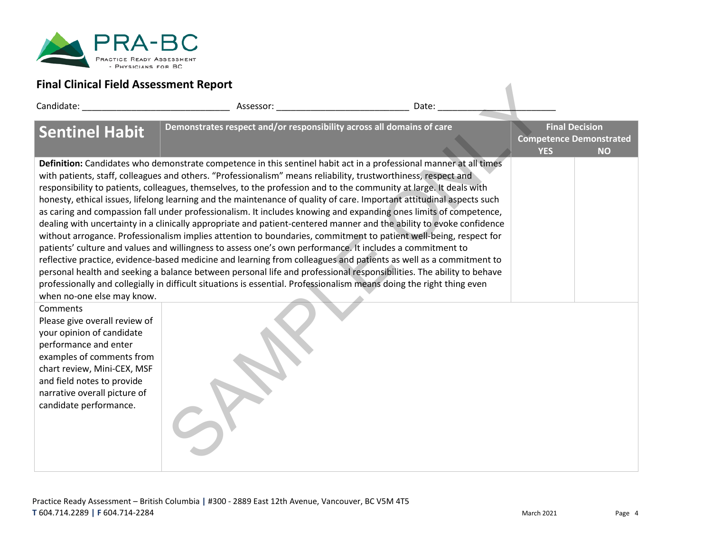

| Final Clinical Field Assessment Report                                                                                                                                                                                                  |                                                                                                                                                                                                                                                                                                                                                                                                                                                                                                                                                                                                                                                                                                                                                                                                                                                                                                                                                                                                                                                                                                                                                                                                                                                                                                                                          |       |            |                                                                      |
|-----------------------------------------------------------------------------------------------------------------------------------------------------------------------------------------------------------------------------------------|------------------------------------------------------------------------------------------------------------------------------------------------------------------------------------------------------------------------------------------------------------------------------------------------------------------------------------------------------------------------------------------------------------------------------------------------------------------------------------------------------------------------------------------------------------------------------------------------------------------------------------------------------------------------------------------------------------------------------------------------------------------------------------------------------------------------------------------------------------------------------------------------------------------------------------------------------------------------------------------------------------------------------------------------------------------------------------------------------------------------------------------------------------------------------------------------------------------------------------------------------------------------------------------------------------------------------------------|-------|------------|----------------------------------------------------------------------|
| Candidate: The Candidate:                                                                                                                                                                                                               | Assessor: Assessor:                                                                                                                                                                                                                                                                                                                                                                                                                                                                                                                                                                                                                                                                                                                                                                                                                                                                                                                                                                                                                                                                                                                                                                                                                                                                                                                      | Date: |            |                                                                      |
| <b>Sentinel Habit</b>                                                                                                                                                                                                                   | Demonstrates respect and/or responsibility across all domains of care                                                                                                                                                                                                                                                                                                                                                                                                                                                                                                                                                                                                                                                                                                                                                                                                                                                                                                                                                                                                                                                                                                                                                                                                                                                                    |       | <b>YES</b> | <b>Final Decision</b><br><b>Competence Demonstrated</b><br><b>NO</b> |
| when no-one else may know.<br>Comments                                                                                                                                                                                                  | Definition: Candidates who demonstrate competence in this sentinel habit act in a professional manner at all times<br>with patients, staff, colleagues and others. "Professionalism" means reliability, trustworthiness, respect and<br>responsibility to patients, colleagues, themselves, to the profession and to the community at large. It deals with<br>honesty, ethical issues, lifelong learning and the maintenance of quality of care. Important attitudinal aspects such<br>as caring and compassion fall under professionalism. It includes knowing and expanding ones limits of competence,<br>dealing with uncertainty in a clinically appropriate and patient-centered manner and the ability to evoke confidence<br>without arrogance. Professionalism implies attention to boundaries, commitment to patient well-being, respect for<br>patients' culture and values and willingness to assess one's own performance. It includes a commitment to<br>reflective practice, evidence-based medicine and learning from colleagues and patients as well as a commitment to<br>personal health and seeking a balance between personal life and professional responsibilities. The ability to behave<br>professionally and collegially in difficult situations is essential. Professionalism means doing the right thing even |       |            |                                                                      |
| Please give overall review of<br>your opinion of candidate<br>performance and enter<br>examples of comments from<br>chart review, Mini-CEX, MSF<br>and field notes to provide<br>narrative overall picture of<br>candidate performance. |                                                                                                                                                                                                                                                                                                                                                                                                                                                                                                                                                                                                                                                                                                                                                                                                                                                                                                                                                                                                                                                                                                                                                                                                                                                                                                                                          |       |            |                                                                      |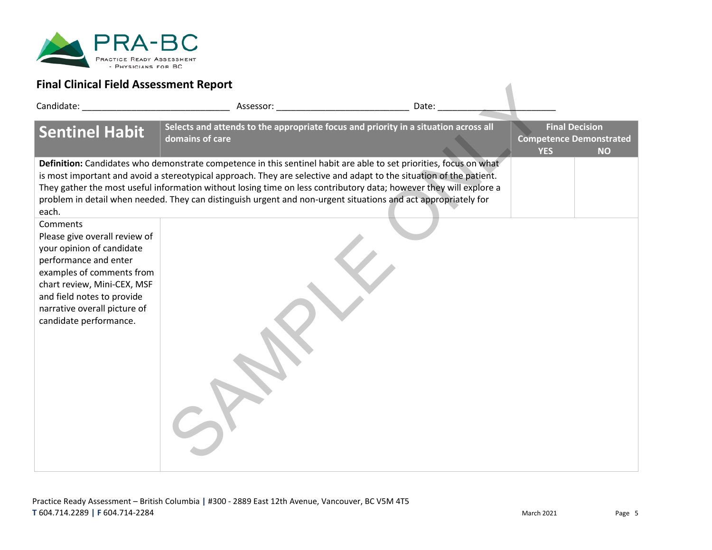

| Final Clinical Field Assessment Report                                                                                                                                                                                                              |                                                                                                                                                                                                                                                                                                                                                                                                                                                                                   |       |            |                                                                      |
|-----------------------------------------------------------------------------------------------------------------------------------------------------------------------------------------------------------------------------------------------------|-----------------------------------------------------------------------------------------------------------------------------------------------------------------------------------------------------------------------------------------------------------------------------------------------------------------------------------------------------------------------------------------------------------------------------------------------------------------------------------|-------|------------|----------------------------------------------------------------------|
| Candidate: National Candidate:                                                                                                                                                                                                                      |                                                                                                                                                                                                                                                                                                                                                                                                                                                                                   | Date: |            |                                                                      |
| <b>Sentinel Habit</b>                                                                                                                                                                                                                               | Selects and attends to the appropriate focus and priority in a situation across all<br>domains of care                                                                                                                                                                                                                                                                                                                                                                            |       | <b>YES</b> | <b>Final Decision</b><br><b>Competence Demonstrated</b><br><b>NO</b> |
| each.                                                                                                                                                                                                                                               | Definition: Candidates who demonstrate competence in this sentinel habit are able to set priorities, focus on what<br>is most important and avoid a stereotypical approach. They are selective and adapt to the situation of the patient.<br>They gather the most useful information without losing time on less contributory data; however they will explore a<br>problem in detail when needed. They can distinguish urgent and non-urgent situations and act appropriately for |       |            |                                                                      |
| Comments<br>Please give overall review of<br>your opinion of candidate<br>performance and enter<br>examples of comments from<br>chart review, Mini-CEX, MSF<br>and field notes to provide<br>narrative overall picture of<br>candidate performance. |                                                                                                                                                                                                                                                                                                                                                                                                                                                                                   |       |            |                                                                      |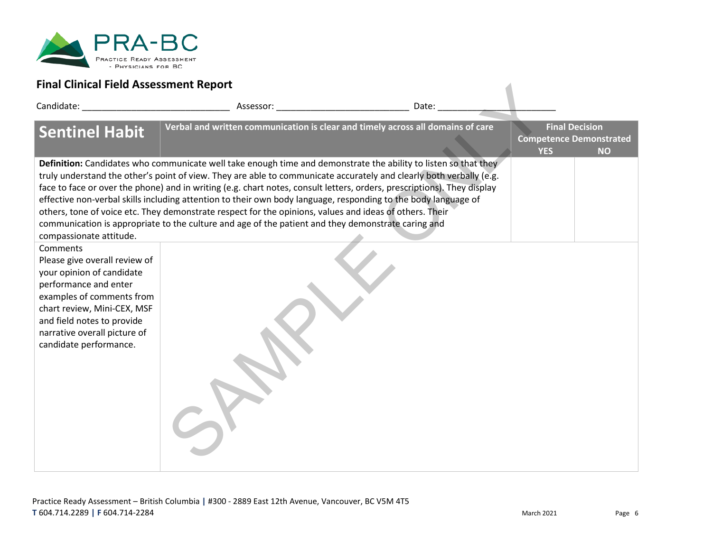

| Final Clinical Field Assessment Report                                                                                                                                                                                                              |                                                                                                                                                                                                                                                                                                                                                                                                                                                                                                                                                                                                                                                                                                      |       |            |                                                                      |
|-----------------------------------------------------------------------------------------------------------------------------------------------------------------------------------------------------------------------------------------------------|------------------------------------------------------------------------------------------------------------------------------------------------------------------------------------------------------------------------------------------------------------------------------------------------------------------------------------------------------------------------------------------------------------------------------------------------------------------------------------------------------------------------------------------------------------------------------------------------------------------------------------------------------------------------------------------------------|-------|------------|----------------------------------------------------------------------|
| Candidate: The Candidate:                                                                                                                                                                                                                           | Assessor: The contract of the contract of the contract of the contract of the contract of the contract of the contract of the contract of the contract of the contract of the contract of the contract of the contract of the                                                                                                                                                                                                                                                                                                                                                                                                                                                                        | Date: |            |                                                                      |
| <b>Sentinel Habit</b>                                                                                                                                                                                                                               | Verbal and written communication is clear and timely across all domains of care                                                                                                                                                                                                                                                                                                                                                                                                                                                                                                                                                                                                                      |       | <b>YES</b> | <b>Final Decision</b><br><b>Competence Demonstrated</b><br><b>NO</b> |
| compassionate attitude.                                                                                                                                                                                                                             | Definition: Candidates who communicate well take enough time and demonstrate the ability to listen so that they<br>truly understand the other's point of view. They are able to communicate accurately and clearly both verbally (e.g.<br>face to face or over the phone) and in writing (e.g. chart notes, consult letters, orders, prescriptions). They display<br>effective non-verbal skills including attention to their own body language, responding to the body language of<br>others, tone of voice etc. They demonstrate respect for the opinions, values and ideas of others. Their<br>communication is appropriate to the culture and age of the patient and they demonstrate caring and |       |            |                                                                      |
| Comments<br>Please give overall review of<br>your opinion of candidate<br>performance and enter<br>examples of comments from<br>chart review, Mini-CEX, MSF<br>and field notes to provide<br>narrative overall picture of<br>candidate performance. |                                                                                                                                                                                                                                                                                                                                                                                                                                                                                                                                                                                                                                                                                                      |       |            |                                                                      |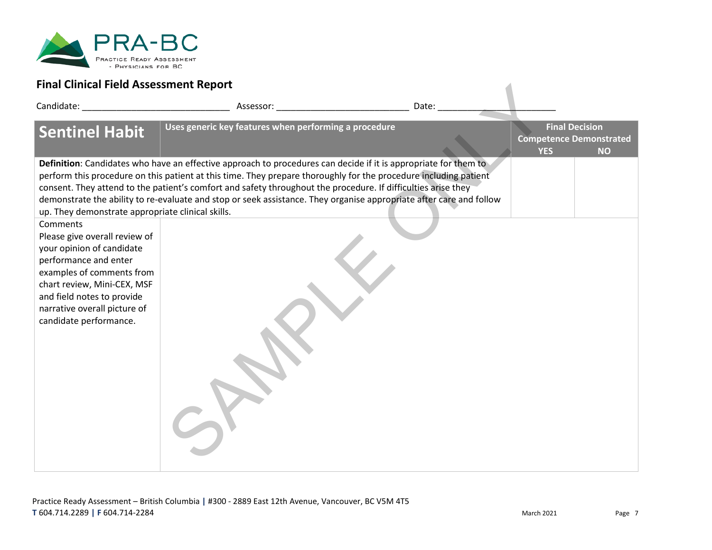

| Final Clinical Field Assessment Report                                                                                                                                                                                                              |                                                                                                                                                                                                                                                                                                                                                                                                                                                                             |       |            |                                                                      |
|-----------------------------------------------------------------------------------------------------------------------------------------------------------------------------------------------------------------------------------------------------|-----------------------------------------------------------------------------------------------------------------------------------------------------------------------------------------------------------------------------------------------------------------------------------------------------------------------------------------------------------------------------------------------------------------------------------------------------------------------------|-------|------------|----------------------------------------------------------------------|
| Candidate: National Candidate:                                                                                                                                                                                                                      | Assessor: New York Products and the Contract of the Contract of the Contract of the Contract of the Contract of the Contract of the Contract of the Contract of the Contract of the Contract of the Contract of the Contract o                                                                                                                                                                                                                                              | Date: |            |                                                                      |
| <b>Sentinel Habit</b>                                                                                                                                                                                                                               | Uses generic key features when performing a procedure                                                                                                                                                                                                                                                                                                                                                                                                                       |       | <b>YES</b> | <b>Final Decision</b><br><b>Competence Demonstrated</b><br><b>NO</b> |
| up. They demonstrate appropriate clinical skills.                                                                                                                                                                                                   | Definition: Candidates who have an effective approach to procedures can decide if it is appropriate for them to<br>perform this procedure on this patient at this time. They prepare thoroughly for the procedure including patient<br>consent. They attend to the patient's comfort and safety throughout the procedure. If difficulties arise they<br>demonstrate the ability to re-evaluate and stop or seek assistance. They organise appropriate after care and follow |       |            |                                                                      |
| Comments<br>Please give overall review of<br>your opinion of candidate<br>performance and enter<br>examples of comments from<br>chart review, Mini-CEX, MSF<br>and field notes to provide<br>narrative overall picture of<br>candidate performance. |                                                                                                                                                                                                                                                                                                                                                                                                                                                                             |       |            |                                                                      |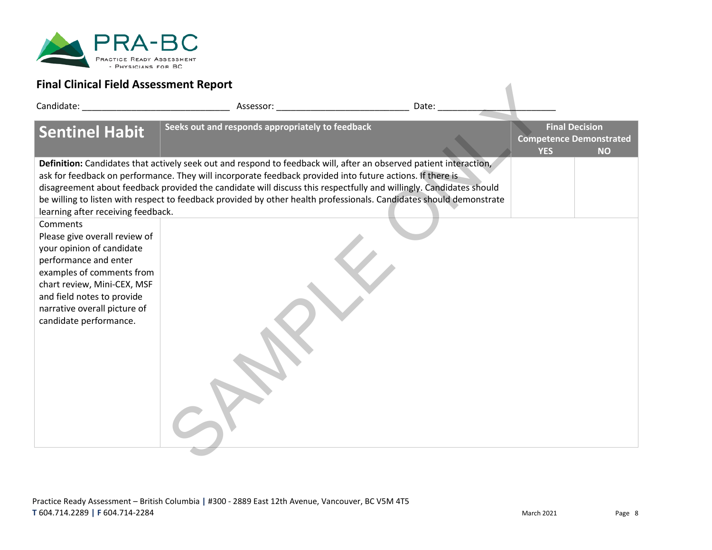

| Final Clinical Field Assessment Report                                                                                                                                                                                                              |                                                                                                                                                                                                                                                                                                                                                                                                                                                                              |       |            |                                                                      |
|-----------------------------------------------------------------------------------------------------------------------------------------------------------------------------------------------------------------------------------------------------|------------------------------------------------------------------------------------------------------------------------------------------------------------------------------------------------------------------------------------------------------------------------------------------------------------------------------------------------------------------------------------------------------------------------------------------------------------------------------|-------|------------|----------------------------------------------------------------------|
| Candidate: The Candidate:                                                                                                                                                                                                                           | Assessor: Assessor:                                                                                                                                                                                                                                                                                                                                                                                                                                                          | Date: |            |                                                                      |
| <b>Sentinel Habit</b>                                                                                                                                                                                                                               | Seeks out and responds appropriately to feedback                                                                                                                                                                                                                                                                                                                                                                                                                             |       | <b>YES</b> | <b>Final Decision</b><br><b>Competence Demonstrated</b><br><b>NO</b> |
| learning after receiving feedback.                                                                                                                                                                                                                  | Definition: Candidates that actively seek out and respond to feedback will, after an observed patient interaction,<br>ask for feedback on performance. They will incorporate feedback provided into future actions. If there is<br>disagreement about feedback provided the candidate will discuss this respectfully and willingly. Candidates should<br>be willing to listen with respect to feedback provided by other health professionals. Candidates should demonstrate |       |            |                                                                      |
| Comments<br>Please give overall review of<br>your opinion of candidate<br>performance and enter<br>examples of comments from<br>chart review, Mini-CEX, MSF<br>and field notes to provide<br>narrative overall picture of<br>candidate performance. |                                                                                                                                                                                                                                                                                                                                                                                                                                                                              |       |            |                                                                      |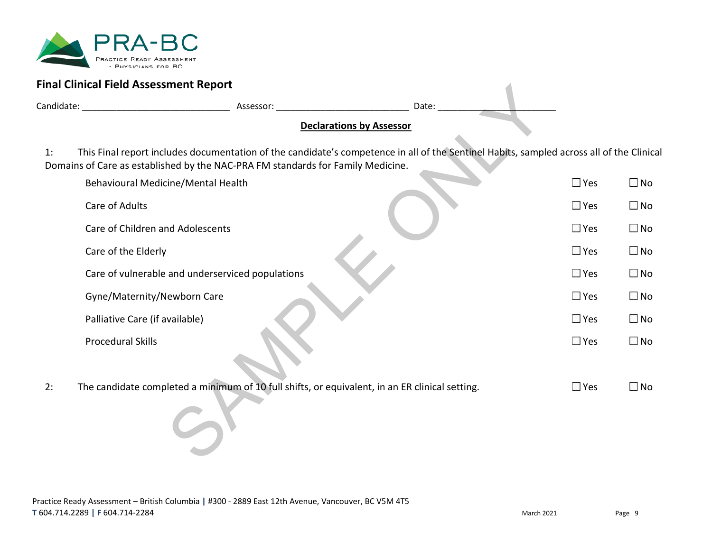

|    | <b>Final Clinical Field Assessment Report</b>                                                                                                                                                                               |                                 |               |              |
|----|-----------------------------------------------------------------------------------------------------------------------------------------------------------------------------------------------------------------------------|---------------------------------|---------------|--------------|
|    |                                                                                                                                                                                                                             | Date:                           |               |              |
|    |                                                                                                                                                                                                                             | <b>Declarations by Assessor</b> |               |              |
| 1: | This Final report includes documentation of the candidate's competence in all of the Sentinel Habits, sampled across all of the Clinical<br>Domains of Care as established by the NAC-PRA FM standards for Family Medicine. |                                 |               |              |
|    | Behavioural Medicine/Mental Health                                                                                                                                                                                          |                                 | $\square$ Yes | $\square$ No |
|    | Care of Adults                                                                                                                                                                                                              |                                 | $\square$ Yes | $\square$ No |
|    | Care of Children and Adolescents                                                                                                                                                                                            |                                 | $\square$ Yes | $\square$ No |
|    | Care of the Elderly                                                                                                                                                                                                         |                                 | $\square$ Yes | $\square$ No |
|    | Care of vulnerable and underserviced populations                                                                                                                                                                            |                                 | $\square$ Yes | $\square$ No |
|    | Gyne/Maternity/Newborn Care                                                                                                                                                                                                 |                                 | $\square$ Yes | $\square$ No |
|    | Palliative Care (if available)                                                                                                                                                                                              |                                 | $\square$ Yes | $\square$ No |
|    | <b>Procedural Skills</b>                                                                                                                                                                                                    |                                 | $\square$ Yes | $\square$ No |
| 2: | The candidate completed a minimum of 10 full shifts, or equivalent, in an ER clinical setting.                                                                                                                              |                                 | $\square$ Yes | $\square$ No |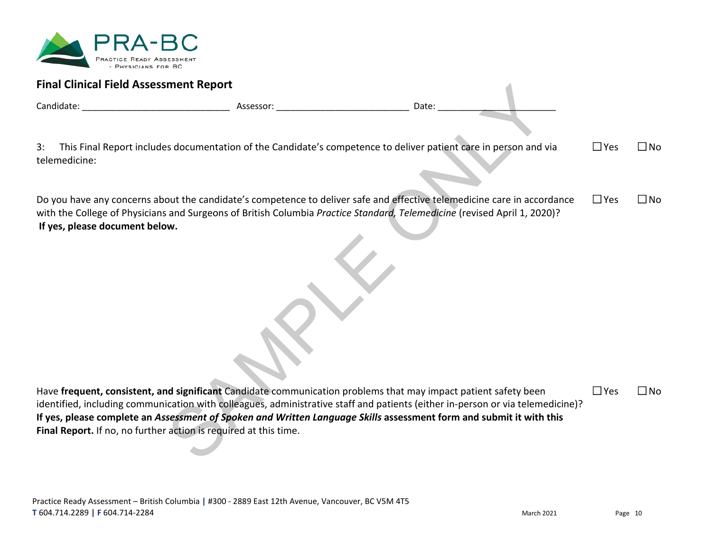

| <b>Final Clinical Field Assessment Report</b>                    |                                                                                                                                                                                                                                                                                                                                                                          |       |  |
|------------------------------------------------------------------|--------------------------------------------------------------------------------------------------------------------------------------------------------------------------------------------------------------------------------------------------------------------------------------------------------------------------------------------------------------------------|-------|--|
|                                                                  |                                                                                                                                                                                                                                                                                                                                                                          | Date: |  |
|                                                                  |                                                                                                                                                                                                                                                                                                                                                                          |       |  |
| 3:<br>telemedicine:                                              | This Final Report includes documentation of the Candidate's competence to deliver patient care in person and via                                                                                                                                                                                                                                                         |       |  |
| If yes, please document below.                                   | Do you have any concerns about the candidate's competence to deliver safe and effective telemedicine care in accordance<br>with the College of Physicians and Surgeons of British Columbia Practice Standard, Telemedicine (revised April 1, 2020)?                                                                                                                      |       |  |
|                                                                  |                                                                                                                                                                                                                                                                                                                                                                          |       |  |
|                                                                  |                                                                                                                                                                                                                                                                                                                                                                          |       |  |
| Final Report. If no, no further action is required at this time. | Have frequent, consistent, and significant Candidate communication problems that may impact patient safety been<br>identified, including communication with colleagues, administrative staff and patients (either in-person or via telemedicine)?<br>If yes, please complete an Assessment of Spoken and Written Language Skills assessment form and submit it with this |       |  |

Do you have any concerns about the candidate's competence to deliver safe and effective telemedicine care in accordance with the College of Physicians and Surgeons of British Columbia *Practice Standard, Telemedicine* (revised April 1, 2020)? **If yes, please document below.**  $\Box$  Yes  $\Box$  No

Have **frequent, consistent, and significant** Candidate communication problems that may impact patient safety been identified, including communication with colleagues, administrative staff and patients (either in-person or via telemedicine)? **If yes, please complete an** *Assessment of Spoken and Written Language Skills* **assessment form and submit it with this Final Report.** If no, no further action is required at this time. □Yes □No

No No